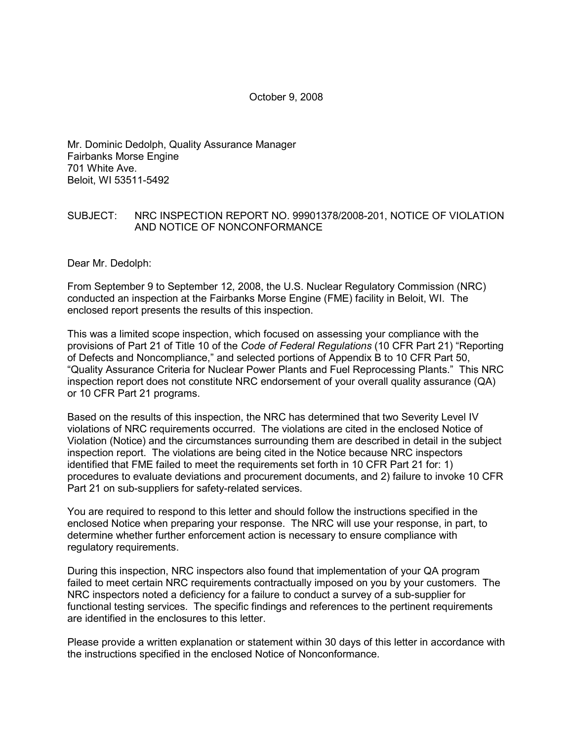October 9, 2008

Mr. Dominic Dedolph, Quality Assurance Manager Fairbanks Morse Engine 701 White Ave. Beloit, WI 53511-5492

#### SUBJECT: NRC INSPECTION REPORT NO. 99901378/2008-201, NOTICE OF VIOLATION AND NOTICE OF NONCONFORMANCE

Dear Mr. Dedolph:

From September 9 to September 12, 2008, the U.S. Nuclear Regulatory Commission (NRC) conducted an inspection at the Fairbanks Morse Engine (FME) facility in Beloit, WI. The enclosed report presents the results of this inspection.

This was a limited scope inspection, which focused on assessing your compliance with the provisions of Part 21 of Title 10 of the *Code of Federal Regulations* (10 CFR Part 21) "Reporting of Defects and Noncompliance," and selected portions of Appendix B to 10 CFR Part 50, "Quality Assurance Criteria for Nuclear Power Plants and Fuel Reprocessing Plants." This NRC inspection report does not constitute NRC endorsement of your overall quality assurance (QA) or 10 CFR Part 21 programs.

Based on the results of this inspection, the NRC has determined that two Severity Level IV violations of NRC requirements occurred. The violations are cited in the enclosed Notice of Violation (Notice) and the circumstances surrounding them are described in detail in the subject inspection report. The violations are being cited in the Notice because NRC inspectors identified that FME failed to meet the requirements set forth in 10 CFR Part 21 for: 1) procedures to evaluate deviations and procurement documents, and 2) failure to invoke 10 CFR Part 21 on sub-suppliers for safety-related services.

You are required to respond to this letter and should follow the instructions specified in the enclosed Notice when preparing your response. The NRC will use your response, in part, to determine whether further enforcement action is necessary to ensure compliance with regulatory requirements.

During this inspection, NRC inspectors also found that implementation of your QA program failed to meet certain NRC requirements contractually imposed on you by your customers. The NRC inspectors noted a deficiency for a failure to conduct a survey of a sub-supplier for functional testing services. The specific findings and references to the pertinent requirements are identified in the enclosures to this letter.

Please provide a written explanation or statement within 30 days of this letter in accordance with the instructions specified in the enclosed Notice of Nonconformance.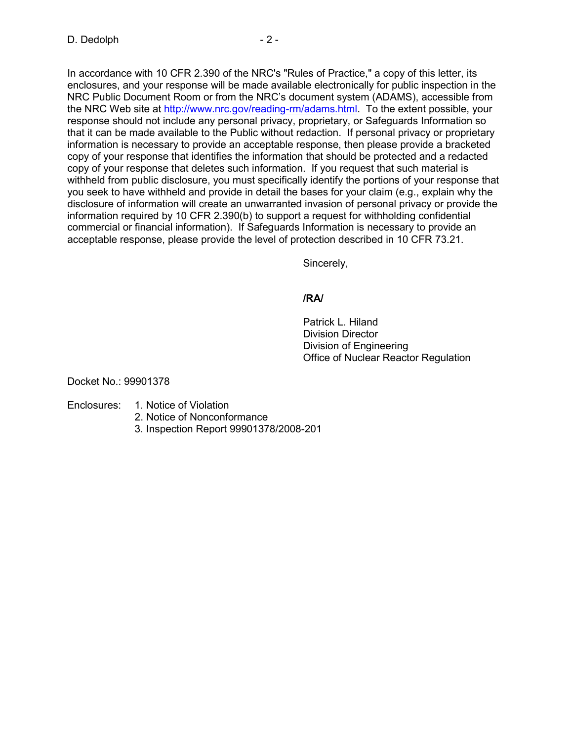In accordance with 10 CFR 2.390 of the NRC's "Rules of Practice," a copy of this letter, its enclosures, and your response will be made available electronically for public inspection in the NRC Public Document Room or from the NRC's document system (ADAMS), accessible from the NRC Web site at http://www.nrc.gov/reading-rm/adams.html. To the extent possible, your response should not include any personal privacy, proprietary, or Safeguards Information so that it can be made available to the Public without redaction. If personal privacy or proprietary information is necessary to provide an acceptable response, then please provide a bracketed copy of your response that identifies the information that should be protected and a redacted copy of your response that deletes such information. If you request that such material is withheld from public disclosure, you must specifically identify the portions of your response that you seek to have withheld and provide in detail the bases for your claim (e.g., explain why the disclosure of information will create an unwarranted invasion of personal privacy or provide the information required by 10 CFR 2.390(b) to support a request for withholding confidential commercial or financial information). If Safeguards Information is necessary to provide an acceptable response, please provide the level of protection described in 10 CFR 73.21.

Sincerely,

# **/RA/**

 Patrick L. Hiland Division Director Division of Engineering Office of Nuclear Reactor Regulation

Docket No.: 99901378

# Enclosures: 1. Notice of Violation

- 2. Notice of Nonconformance
- 3. Inspection Report 99901378/2008-201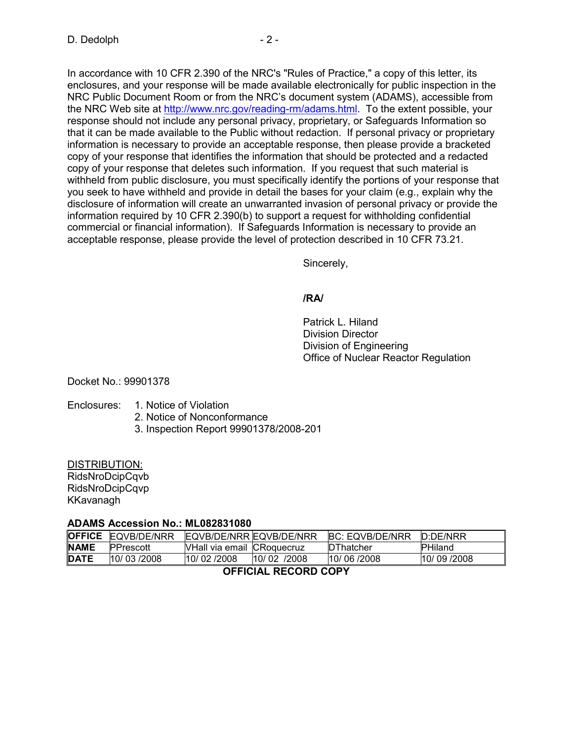In accordance with 10 CFR 2.390 of the NRC's "Rules of Practice," a copy of this letter, its enclosures, and your response will be made available electronically for public inspection in the NRC Public Document Room or from the NRC's document system (ADAMS), accessible from the NRC Web site at http://www.nrc.gov/reading-rm/adams.html. To the extent possible, your response should not include any personal privacy, proprietary, or Safeguards Information so that it can be made available to the Public without redaction. If personal privacy or proprietary information is necessary to provide an acceptable response, then please provide a bracketed copy of your response that identifies the information that should be protected and a redacted copy of your response that deletes such information. If you request that such material is withheld from public disclosure, you must specifically identify the portions of your response that you seek to have withheld and provide in detail the bases for your claim (e.g., explain why the disclosure of information will create an unwarranted invasion of personal privacy or provide the information required by 10 CFR 2.390(b) to support a request for withholding confidential commercial or financial information). If Safeguards Information is necessary to provide an acceptable response, please provide the level of protection described in 10 CFR 73.21.

Sincerely,

# **/RA/**

 Patrick L. Hiland Division Director Division of Engineering Office of Nuclear Reactor Regulation

Docket No.: 99901378

# Enclosures: 1. Notice of Violation

- 2. Notice of Nonconformance
- 3. Inspection Report 99901378/2008-201

# DISTRIBUTION:

RidsNroDcipCqvb RidsNroDcipCqvp KKavanagh

# **ADAMS Accession No.: ML082831080**

|                      | <b>OFFICE EQVB/DE/NRR</b> | EQVB/DE/NRR EQVB/DE/NRR           |             | <b>BC: EQVB/DE/NRR</b> | <b>ID:DE/NRR</b> |  |  |
|----------------------|---------------------------|-----------------------------------|-------------|------------------------|------------------|--|--|
| <b>INAME</b>         | PPrescott                 | <b>NHall via email CRoquecruz</b> |             | DThatcher              | <b>PHiland</b>   |  |  |
| <b>DATE</b>          | 10/03/2008                | 10/02/2008                        | 10/02 /2008 | 10/06/2008             | 10/09/2008       |  |  |
| ACCIAIAI DEAADD AADV |                           |                                   |             |                        |                  |  |  |

# **OFFICIAL RECORD COPY**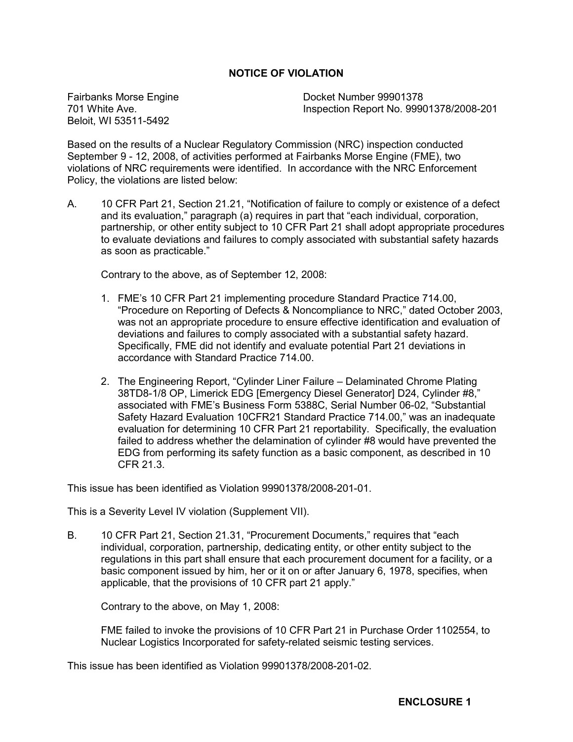### **NOTICE OF VIOLATION**

Fairbanks Morse Engine 701 White Ave. Beloit, WI 53511-5492

Docket Number 99901378 Inspection Report No. 99901378/2008-201

Based on the results of a Nuclear Regulatory Commission (NRC) inspection conducted September 9 - 12, 2008, of activities performed at Fairbanks Morse Engine (FME), two violations of NRC requirements were identified. In accordance with the NRC Enforcement Policy, the violations are listed below:

A. 10 CFR Part 21, Section 21.21, "Notification of failure to comply or existence of a defect and its evaluation," paragraph (a) requires in part that "each individual, corporation, partnership, or other entity subject to 10 CFR Part 21 shall adopt appropriate procedures to evaluate deviations and failures to comply associated with substantial safety hazards as soon as practicable."

Contrary to the above, as of September 12, 2008:

- 1. FME's 10 CFR Part 21 implementing procedure Standard Practice 714.00, "Procedure on Reporting of Defects & Noncompliance to NRC," dated October 2003, was not an appropriate procedure to ensure effective identification and evaluation of deviations and failures to comply associated with a substantial safety hazard. Specifically, FME did not identify and evaluate potential Part 21 deviations in accordance with Standard Practice 714.00.
- 2. The Engineering Report, "Cylinder Liner Failure Delaminated Chrome Plating 38TD8-1/8 OP, Limerick EDG [Emergency Diesel Generator] D24, Cylinder #8," associated with FME's Business Form 5388C, Serial Number 06-02, "Substantial Safety Hazard Evaluation 10CFR21 Standard Practice 714.00," was an inadequate evaluation for determining 10 CFR Part 21 reportability. Specifically, the evaluation failed to address whether the delamination of cylinder #8 would have prevented the EDG from performing its safety function as a basic component, as described in 10 CFR 21.3.

This issue has been identified as Violation 99901378/2008-201-01.

This is a Severity Level IV violation (Supplement VII).

B. 10 CFR Part 21, Section 21.31, "Procurement Documents," requires that "each individual, corporation, partnership, dedicating entity, or other entity subject to the regulations in this part shall ensure that each procurement document for a facility, or a basic component issued by him, her or it on or after January 6, 1978, specifies, when applicable, that the provisions of 10 CFR part 21 apply."

Contrary to the above, on May 1, 2008:

FME failed to invoke the provisions of 10 CFR Part 21 in Purchase Order 1102554, to Nuclear Logistics Incorporated for safety-related seismic testing services.

This issue has been identified as Violation 99901378/2008-201-02.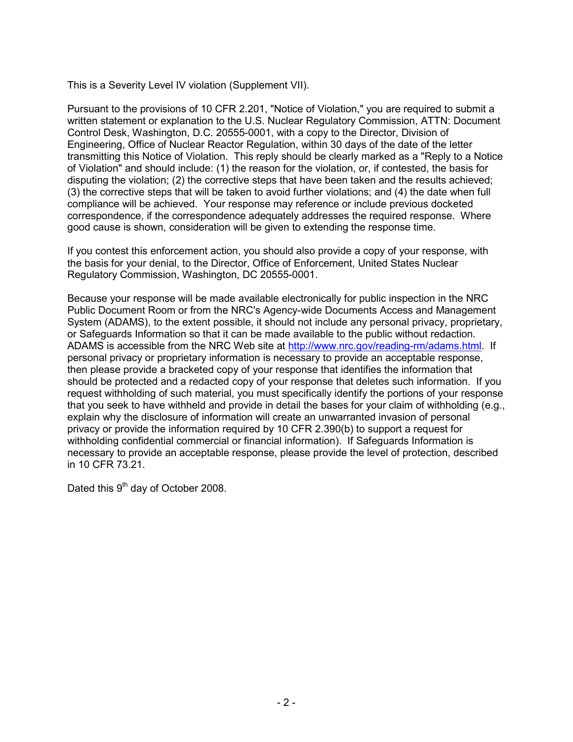This is a Severity Level IV violation (Supplement VII).

Pursuant to the provisions of 10 CFR 2.201, "Notice of Violation," you are required to submit a written statement or explanation to the U.S. Nuclear Regulatory Commission, ATTN: Document Control Desk, Washington, D.C. 20555-0001, with a copy to the Director, Division of Engineering, Office of Nuclear Reactor Regulation, within 30 days of the date of the letter transmitting this Notice of Violation. This reply should be clearly marked as a "Reply to a Notice of Violation" and should include: (1) the reason for the violation, or, if contested, the basis for disputing the violation; (2) the corrective steps that have been taken and the results achieved; (3) the corrective steps that will be taken to avoid further violations; and (4) the date when full compliance will be achieved. Your response may reference or include previous docketed correspondence, if the correspondence adequately addresses the required response. Where good cause is shown, consideration will be given to extending the response time.

If you contest this enforcement action, you should also provide a copy of your response, with the basis for your denial, to the Director, Office of Enforcement, United States Nuclear Regulatory Commission, Washington, DC 20555-0001.

Because your response will be made available electronically for public inspection in the NRC Public Document Room or from the NRC's Agency-wide Documents Access and Management System (ADAMS), to the extent possible, it should not include any personal privacy, proprietary, or Safeguards Information so that it can be made available to the public without redaction. ADAMS is accessible from the NRC Web site at http://www.nrc.gov/reading-rm/adams.html. If personal privacy or proprietary information is necessary to provide an acceptable response, then please provide a bracketed copy of your response that identifies the information that should be protected and a redacted copy of your response that deletes such information. If you request withholding of such material, you must specifically identify the portions of your response that you seek to have withheld and provide in detail the bases for your claim of withholding (e.g., explain why the disclosure of information will create an unwarranted invasion of personal privacy or provide the information required by 10 CFR 2.390(b) to support a request for withholding confidential commercial or financial information). If Safeguards Information is necessary to provide an acceptable response, please provide the level of protection, described in 10 CFR 73.21.

Dated this 9<sup>th</sup> day of October 2008.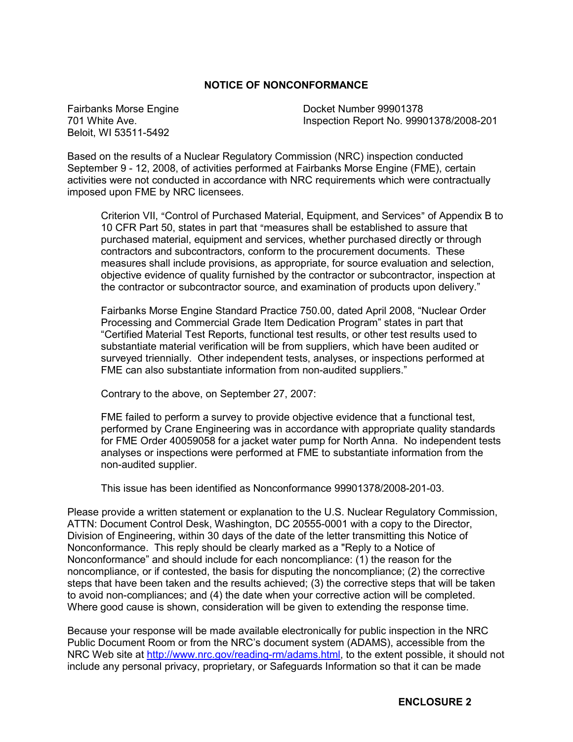### **NOTICE OF NONCONFORMANCE**

Fairbanks Morse Engine 701 White Ave. Beloit, WI 53511-5492

Docket Number 99901378 Inspection Report No. 99901378/2008-201

Based on the results of a Nuclear Regulatory Commission (NRC) inspection conducted September 9 - 12, 2008, of activities performed at Fairbanks Morse Engine (FME), certain activities were not conducted in accordance with NRC requirements which were contractually imposed upon FME by NRC licensees.

Criterion VII, "Control of Purchased Material, Equipment, and Services" of Appendix B to 10 CFR Part 50, states in part that "measures shall be established to assure that purchased material, equipment and services, whether purchased directly or through contractors and subcontractors, conform to the procurement documents. These measures shall include provisions, as appropriate, for source evaluation and selection, objective evidence of quality furnished by the contractor or subcontractor, inspection at the contractor or subcontractor source, and examination of products upon delivery."

Fairbanks Morse Engine Standard Practice 750.00, dated April 2008, "Nuclear Order Processing and Commercial Grade Item Dedication Program" states in part that "Certified Material Test Reports, functional test results, or other test results used to substantiate material verification will be from suppliers, which have been audited or surveyed triennially. Other independent tests, analyses, or inspections performed at FME can also substantiate information from non-audited suppliers."

Contrary to the above, on September 27, 2007:

FME failed to perform a survey to provide objective evidence that a functional test, performed by Crane Engineering was in accordance with appropriate quality standards for FME Order 40059058 for a jacket water pump for North Anna. No independent tests analyses or inspections were performed at FME to substantiate information from the non-audited supplier.

This issue has been identified as Nonconformance 99901378/2008-201-03.

Please provide a written statement or explanation to the U.S. Nuclear Regulatory Commission, ATTN: Document Control Desk, Washington, DC 20555-0001 with a copy to the Director, Division of Engineering, within 30 days of the date of the letter transmitting this Notice of Nonconformance. This reply should be clearly marked as a "Reply to a Notice of Nonconformance" and should include for each noncompliance: (1) the reason for the noncompliance, or if contested, the basis for disputing the noncompliance; (2) the corrective steps that have been taken and the results achieved; (3) the corrective steps that will be taken to avoid non-compliances; and (4) the date when your corrective action will be completed. Where good cause is shown, consideration will be given to extending the response time.

Because your response will be made available electronically for public inspection in the NRC Public Document Room or from the NRC's document system (ADAMS), accessible from the NRC Web site at http://www.nrc.gov/reading-rm/adams.html, to the extent possible, it should not include any personal privacy, proprietary, or Safeguards Information so that it can be made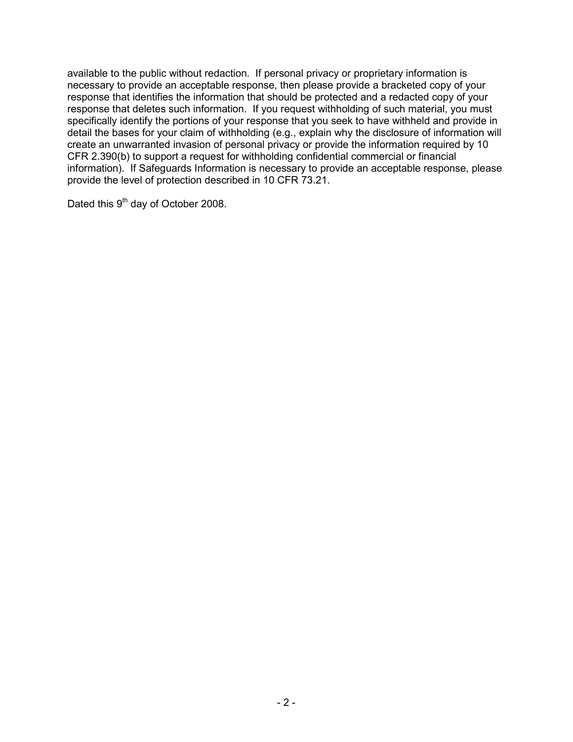available to the public without redaction. If personal privacy or proprietary information is necessary to provide an acceptable response, then please provide a bracketed copy of your response that identifies the information that should be protected and a redacted copy of your response that deletes such information. If you request withholding of such material, you must specifically identify the portions of your response that you seek to have withheld and provide in detail the bases for your claim of withholding (e.g., explain why the disclosure of information will create an unwarranted invasion of personal privacy or provide the information required by 10 CFR 2.390(b) to support a request for withholding confidential commercial or financial information). If Safeguards Information is necessary to provide an acceptable response, please provide the level of protection described in 10 CFR 73.21.

Dated this 9<sup>th</sup> day of October 2008.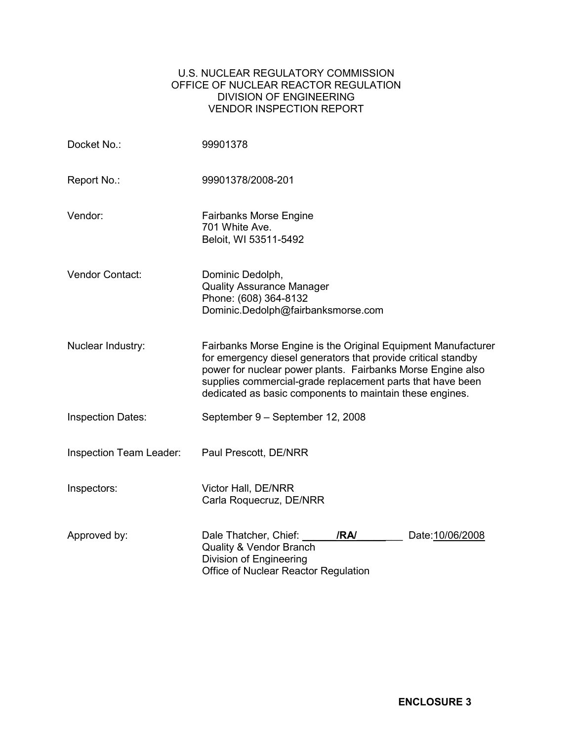# U.S. NUCLEAR REGULATORY COMMISSION OFFICE OF NUCLEAR REACTOR REGULATION DIVISION OF ENGINEERING VENDOR INSPECTION REPORT

| Docket No.:              | 99901378                                                                                                                                                                                                                                                                                                                |  |  |  |  |
|--------------------------|-------------------------------------------------------------------------------------------------------------------------------------------------------------------------------------------------------------------------------------------------------------------------------------------------------------------------|--|--|--|--|
| Report No.:              | 99901378/2008-201                                                                                                                                                                                                                                                                                                       |  |  |  |  |
| Vendor:                  | <b>Fairbanks Morse Engine</b><br>701 White Ave.<br>Beloit, WI 53511-5492                                                                                                                                                                                                                                                |  |  |  |  |
| Vendor Contact:          | Dominic Dedolph,<br><b>Quality Assurance Manager</b><br>Phone: (608) 364-8132<br>Dominic.Dedolph@fairbanksmorse.com                                                                                                                                                                                                     |  |  |  |  |
| Nuclear Industry:        | Fairbanks Morse Engine is the Original Equipment Manufacturer<br>for emergency diesel generators that provide critical standby<br>power for nuclear power plants. Fairbanks Morse Engine also<br>supplies commercial-grade replacement parts that have been<br>dedicated as basic components to maintain these engines. |  |  |  |  |
| <b>Inspection Dates:</b> | September 9 - September 12, 2008                                                                                                                                                                                                                                                                                        |  |  |  |  |
| Inspection Team Leader:  | Paul Prescott, DE/NRR                                                                                                                                                                                                                                                                                                   |  |  |  |  |
| Inspectors:              | Victor Hall, DE/NRR<br>Carla Roquecruz, DE/NRR                                                                                                                                                                                                                                                                          |  |  |  |  |
| Approved by:             | Dale Thatcher, Chief:<br>/RA/<br>Date: 10/06/2008<br><b>Quality &amp; Vendor Branch</b><br>Division of Engineering<br>Office of Nuclear Reactor Regulation                                                                                                                                                              |  |  |  |  |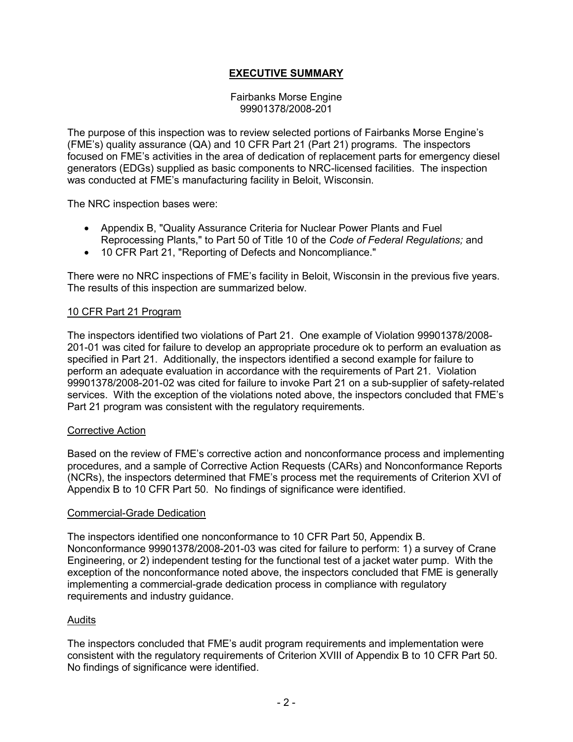# **EXECUTIVE SUMMARY**

#### Fairbanks Morse Engine 99901378/2008-201

The purpose of this inspection was to review selected portions of Fairbanks Morse Engine's (FME's) quality assurance (QA) and 10 CFR Part 21 (Part 21) programs. The inspectors focused on FME's activities in the area of dedication of replacement parts for emergency diesel generators (EDGs) supplied as basic components to NRC-licensed facilities. The inspection was conducted at FME's manufacturing facility in Beloit, Wisconsin.

The NRC inspection bases were:

- Appendix B, "Quality Assurance Criteria for Nuclear Power Plants and Fuel Reprocessing Plants," to Part 50 of Title 10 of the *Code of Federal Regulations;* and
- 10 CFR Part 21, "Reporting of Defects and Noncompliance."

There were no NRC inspections of FME's facility in Beloit, Wisconsin in the previous five years. The results of this inspection are summarized below.

### 10 CFR Part 21 Program

The inspectors identified two violations of Part 21. One example of Violation 99901378/2008- 201-01 was cited for failure to develop an appropriate procedure ok to perform an evaluation as specified in Part 21. Additionally, the inspectors identified a second example for failure to perform an adequate evaluation in accordance with the requirements of Part 21. Violation 99901378/2008-201-02 was cited for failure to invoke Part 21 on a sub-supplier of safety-related services. With the exception of the violations noted above, the inspectors concluded that FME's Part 21 program was consistent with the regulatory requirements.

#### Corrective Action

Based on the review of FME's corrective action and nonconformance process and implementing procedures, and a sample of Corrective Action Requests (CARs) and Nonconformance Reports (NCRs), the inspectors determined that FME's process met the requirements of Criterion XVI of Appendix B to 10 CFR Part 50. No findings of significance were identified.

#### Commercial-Grade Dedication

The inspectors identified one nonconformance to 10 CFR Part 50, Appendix B. Nonconformance 99901378/2008-201-03 was cited for failure to perform: 1) a survey of Crane Engineering, or 2) independent testing for the functional test of a jacket water pump. With the exception of the nonconformance noted above, the inspectors concluded that FME is generally implementing a commercial-grade dedication process in compliance with regulatory requirements and industry guidance.

#### **Audits**

The inspectors concluded that FME's audit program requirements and implementation were consistent with the regulatory requirements of Criterion XVIII of Appendix B to 10 CFR Part 50. No findings of significance were identified.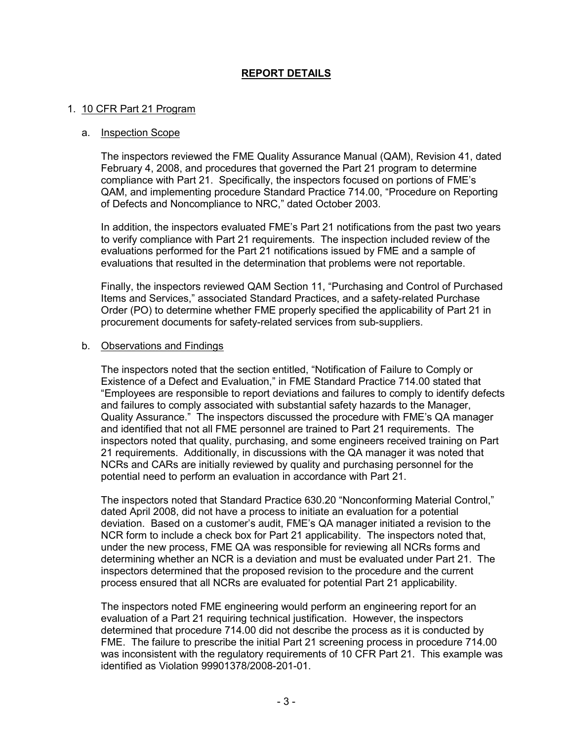# **REPORT DETAILS**

#### 1. 10 CFR Part 21 Program

#### a. Inspection Scope

The inspectors reviewed the FME Quality Assurance Manual (QAM), Revision 41, dated February 4, 2008, and procedures that governed the Part 21 program to determine compliance with Part 21. Specifically, the inspectors focused on portions of FME's QAM, and implementing procedure Standard Practice 714.00, "Procedure on Reporting of Defects and Noncompliance to NRC," dated October 2003.

In addition, the inspectors evaluated FME's Part 21 notifications from the past two years to verify compliance with Part 21 requirements. The inspection included review of the evaluations performed for the Part 21 notifications issued by FME and a sample of evaluations that resulted in the determination that problems were not reportable.

Finally, the inspectors reviewed QAM Section 11, "Purchasing and Control of Purchased Items and Services," associated Standard Practices, and a safety-related Purchase Order (PO) to determine whether FME properly specified the applicability of Part 21 in procurement documents for safety-related services from sub-suppliers.

#### b. Observations and Findings

The inspectors noted that the section entitled, "Notification of Failure to Comply or Existence of a Defect and Evaluation," in FME Standard Practice 714.00 stated that "Employees are responsible to report deviations and failures to comply to identify defects and failures to comply associated with substantial safety hazards to the Manager, Quality Assurance." The inspectors discussed the procedure with FME's QA manager and identified that not all FME personnel are trained to Part 21 requirements. The inspectors noted that quality, purchasing, and some engineers received training on Part 21 requirements. Additionally, in discussions with the QA manager it was noted that NCRs and CARs are initially reviewed by quality and purchasing personnel for the potential need to perform an evaluation in accordance with Part 21.

The inspectors noted that Standard Practice 630.20 "Nonconforming Material Control," dated April 2008, did not have a process to initiate an evaluation for a potential deviation. Based on a customer's audit, FME's QA manager initiated a revision to the NCR form to include a check box for Part 21 applicability. The inspectors noted that, under the new process, FME QA was responsible for reviewing all NCRs forms and determining whether an NCR is a deviation and must be evaluated under Part 21. The inspectors determined that the proposed revision to the procedure and the current process ensured that all NCRs are evaluated for potential Part 21 applicability.

The inspectors noted FME engineering would perform an engineering report for an evaluation of a Part 21 requiring technical justification. However, the inspectors determined that procedure 714.00 did not describe the process as it is conducted by FME. The failure to prescribe the initial Part 21 screening process in procedure 714.00 was inconsistent with the regulatory requirements of 10 CFR Part 21. This example was identified as Violation 99901378/2008-201-01.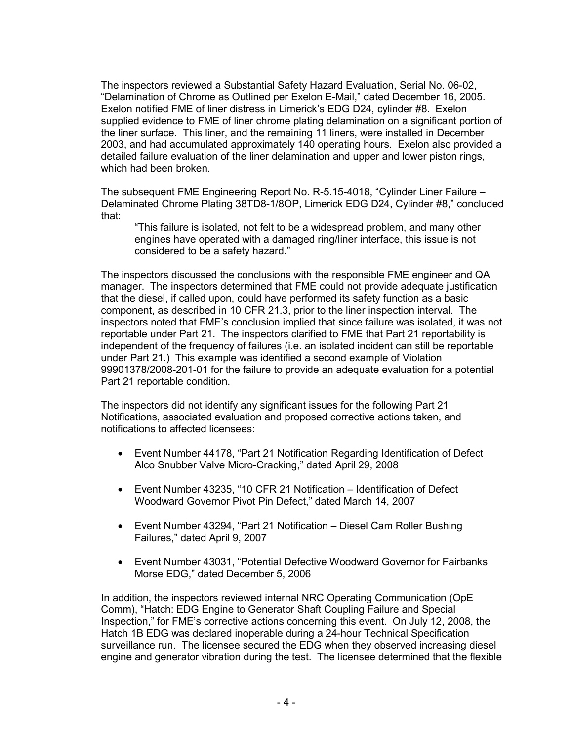The inspectors reviewed a Substantial Safety Hazard Evaluation, Serial No. 06-02, "Delamination of Chrome as Outlined per Exelon E-Mail," dated December 16, 2005. Exelon notified FME of liner distress in Limerick's EDG D24, cylinder #8. Exelon supplied evidence to FME of liner chrome plating delamination on a significant portion of the liner surface. This liner, and the remaining 11 liners, were installed in December 2003, and had accumulated approximately 140 operating hours. Exelon also provided a detailed failure evaluation of the liner delamination and upper and lower piston rings, which had been broken.

The subsequent FME Engineering Report No. R-5.15-4018, "Cylinder Liner Failure – Delaminated Chrome Plating 38TD8-1/8OP, Limerick EDG D24, Cylinder #8," concluded that:

 "This failure is isolated, not felt to be a widespread problem, and many other engines have operated with a damaged ring/liner interface, this issue is not considered to be a safety hazard."

The inspectors discussed the conclusions with the responsible FME engineer and QA manager. The inspectors determined that FME could not provide adequate justification that the diesel, if called upon, could have performed its safety function as a basic component, as described in 10 CFR 21.3, prior to the liner inspection interval. The inspectors noted that FME's conclusion implied that since failure was isolated, it was not reportable under Part 21. The inspectors clarified to FME that Part 21 reportability is independent of the frequency of failures (i.e. an isolated incident can still be reportable under Part 21.) This example was identified a second example of Violation 99901378/2008-201-01 for the failure to provide an adequate evaluation for a potential Part 21 reportable condition.

The inspectors did not identify any significant issues for the following Part 21 Notifications, associated evaluation and proposed corrective actions taken, and notifications to affected licensees:

- Event Number 44178, "Part 21 Notification Regarding Identification of Defect Alco Snubber Valve Micro-Cracking," dated April 29, 2008
- Event Number 43235, "10 CFR 21 Notification Identification of Defect Woodward Governor Pivot Pin Defect," dated March 14, 2007
- Event Number 43294, "Part 21 Notification Diesel Cam Roller Bushing Failures," dated April 9, 2007
- Event Number 43031, "Potential Defective Woodward Governor for Fairbanks Morse EDG," dated December 5, 2006

In addition, the inspectors reviewed internal NRC Operating Communication (OpE Comm), "Hatch: EDG Engine to Generator Shaft Coupling Failure and Special Inspection," for FME's corrective actions concerning this event. On July 12, 2008, the Hatch 1B EDG was declared inoperable during a 24-hour Technical Specification surveillance run. The licensee secured the EDG when they observed increasing diesel engine and generator vibration during the test. The licensee determined that the flexible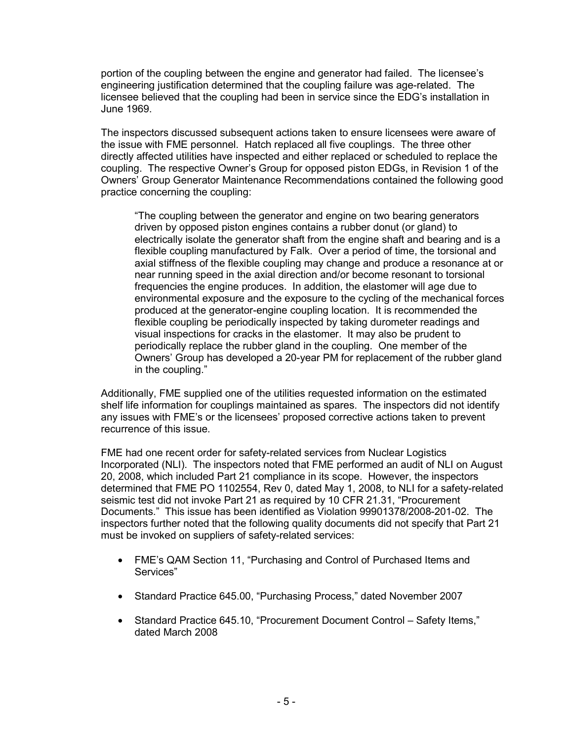portion of the coupling between the engine and generator had failed. The licensee's engineering justification determined that the coupling failure was age-related. The licensee believed that the coupling had been in service since the EDG's installation in June 1969.

The inspectors discussed subsequent actions taken to ensure licensees were aware of the issue with FME personnel. Hatch replaced all five couplings. The three other directly affected utilities have inspected and either replaced or scheduled to replace the coupling. The respective Owner's Group for opposed piston EDGs, in Revision 1 of the Owners' Group Generator Maintenance Recommendations contained the following good practice concerning the coupling:

"The coupling between the generator and engine on two bearing generators driven by opposed piston engines contains a rubber donut (or gland) to electrically isolate the generator shaft from the engine shaft and bearing and is a flexible coupling manufactured by Falk. Over a period of time, the torsional and axial stiffness of the flexible coupling may change and produce a resonance at or near running speed in the axial direction and/or become resonant to torsional frequencies the engine produces. In addition, the elastomer will age due to environmental exposure and the exposure to the cycling of the mechanical forces produced at the generator-engine coupling location. It is recommended the flexible coupling be periodically inspected by taking durometer readings and visual inspections for cracks in the elastomer. It may also be prudent to periodically replace the rubber gland in the coupling. One member of the Owners' Group has developed a 20-year PM for replacement of the rubber gland in the coupling."

Additionally, FME supplied one of the utilities requested information on the estimated shelf life information for couplings maintained as spares. The inspectors did not identify any issues with FME's or the licensees' proposed corrective actions taken to prevent recurrence of this issue.

FME had one recent order for safety-related services from Nuclear Logistics Incorporated (NLI). The inspectors noted that FME performed an audit of NLI on August 20, 2008, which included Part 21 compliance in its scope. However, the inspectors determined that FME PO 1102554, Rev 0, dated May 1, 2008, to NLI for a safety-related seismic test did not invoke Part 21 as required by 10 CFR 21.31, "Procurement Documents." This issue has been identified as Violation 99901378/2008-201-02. The inspectors further noted that the following quality documents did not specify that Part 21 must be invoked on suppliers of safety-related services:

- FME's QAM Section 11, "Purchasing and Control of Purchased Items and Services"
- Standard Practice 645.00, "Purchasing Process," dated November 2007
- Standard Practice 645.10, "Procurement Document Control Safety Items," dated March 2008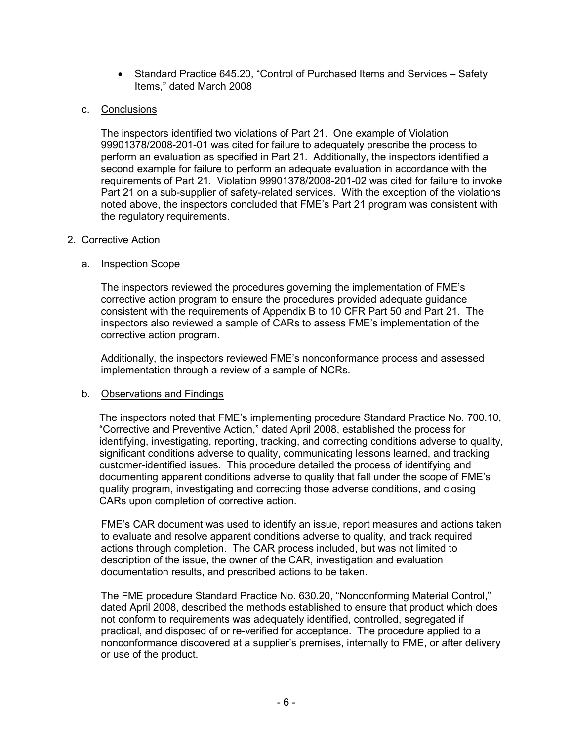• Standard Practice 645.20, "Control of Purchased Items and Services – Safety Items," dated March 2008

# c. Conclusions

The inspectors identified two violations of Part 21. One example of Violation 99901378/2008-201-01 was cited for failure to adequately prescribe the process to perform an evaluation as specified in Part 21. Additionally, the inspectors identified a second example for failure to perform an adequate evaluation in accordance with the requirements of Part 21. Violation 99901378/2008-201-02 was cited for failure to invoke Part 21 on a sub-supplier of safety-related services. With the exception of the violations noted above, the inspectors concluded that FME's Part 21 program was consistent with the regulatory requirements.

# 2. Corrective Action

# a. Inspection Scope

The inspectors reviewed the procedures governing the implementation of FME's corrective action program to ensure the procedures provided adequate guidance consistent with the requirements of Appendix B to 10 CFR Part 50 and Part 21. The inspectors also reviewed a sample of CARs to assess FME's implementation of the corrective action program.

Additionally, the inspectors reviewed FME's nonconformance process and assessed implementation through a review of a sample of NCRs.

# b. Observations and Findings

The inspectors noted that FME's implementing procedure Standard Practice No. 700.10, "Corrective and Preventive Action," dated April 2008, established the process for identifying, investigating, reporting, tracking, and correcting conditions adverse to quality, significant conditions adverse to quality, communicating lessons learned, and tracking customer-identified issues. This procedure detailed the process of identifying and documenting apparent conditions adverse to quality that fall under the scope of FME's quality program, investigating and correcting those adverse conditions, and closing CARs upon completion of corrective action.

FME's CAR document was used to identify an issue, report measures and actions taken to evaluate and resolve apparent conditions adverse to quality, and track required actions through completion. The CAR process included, but was not limited to description of the issue, the owner of the CAR, investigation and evaluation documentation results, and prescribed actions to be taken.

The FME procedure Standard Practice No. 630.20, "Nonconforming Material Control," dated April 2008, described the methods established to ensure that product which does not conform to requirements was adequately identified, controlled, segregated if practical, and disposed of or re-verified for acceptance. The procedure applied to a nonconformance discovered at a supplier's premises, internally to FME, or after delivery or use of the product.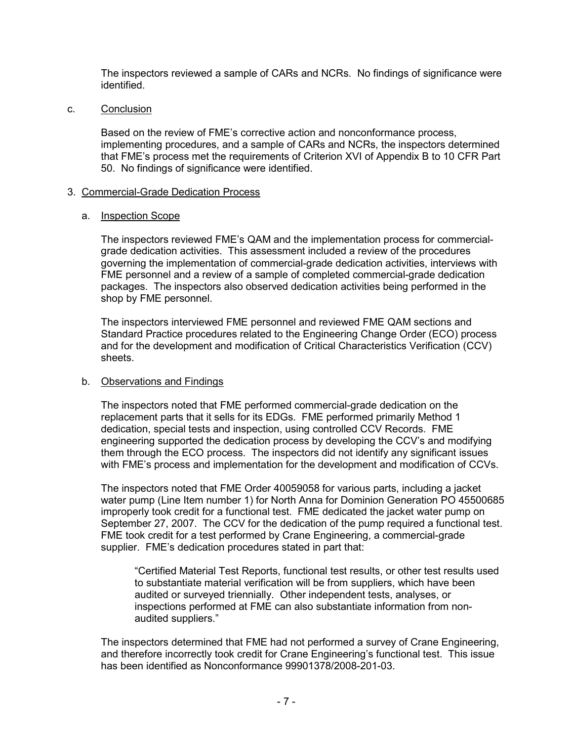The inspectors reviewed a sample of CARs and NCRs. No findings of significance were identified.

c. Conclusion

Based on the review of FME's corrective action and nonconformance process, implementing procedures, and a sample of CARs and NCRs, the inspectors determined that FME's process met the requirements of Criterion XVI of Appendix B to 10 CFR Part 50. No findings of significance were identified.

# 3. Commercial-Grade Dedication Process

### a. Inspection Scope

The inspectors reviewed FME's QAM and the implementation process for commercialgrade dedication activities. This assessment included a review of the procedures governing the implementation of commercial-grade dedication activities, interviews with FME personnel and a review of a sample of completed commercial-grade dedication packages. The inspectors also observed dedication activities being performed in the shop by FME personnel.

The inspectors interviewed FME personnel and reviewed FME QAM sections and Standard Practice procedures related to the Engineering Change Order (ECO) process and for the development and modification of Critical Characteristics Verification (CCV) sheets.

# b. Observations and Findings

The inspectors noted that FME performed commercial-grade dedication on the replacement parts that it sells for its EDGs. FME performed primarily Method 1 dedication, special tests and inspection, using controlled CCV Records. FME engineering supported the dedication process by developing the CCV's and modifying them through the ECO process. The inspectors did not identify any significant issues with FME's process and implementation for the development and modification of CCVs.

The inspectors noted that FME Order 40059058 for various parts, including a jacket water pump (Line Item number 1) for North Anna for Dominion Generation PO 45500685 improperly took credit for a functional test. FME dedicated the jacket water pump on September 27, 2007. The CCV for the dedication of the pump required a functional test. FME took credit for a test performed by Crane Engineering, a commercial-grade supplier. FME's dedication procedures stated in part that:

"Certified Material Test Reports, functional test results, or other test results used to substantiate material verification will be from suppliers, which have been audited or surveyed triennially. Other independent tests, analyses, or inspections performed at FME can also substantiate information from nonaudited suppliers."

The inspectors determined that FME had not performed a survey of Crane Engineering, and therefore incorrectly took credit for Crane Engineering's functional test. This issue has been identified as Nonconformance 99901378/2008-201-03.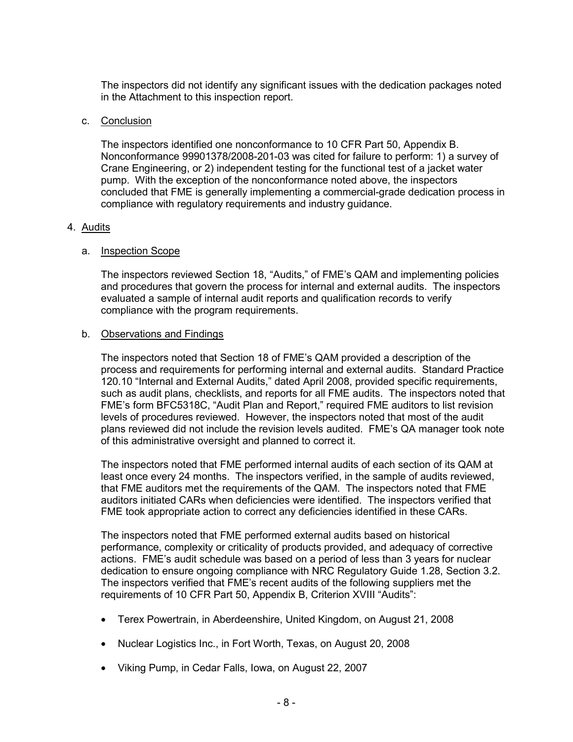The inspectors did not identify any significant issues with the dedication packages noted in the Attachment to this inspection report.

### c. Conclusion

The inspectors identified one nonconformance to 10 CFR Part 50, Appendix B. Nonconformance 99901378/2008-201-03 was cited for failure to perform: 1) a survey of Crane Engineering, or 2) independent testing for the functional test of a jacket water pump. With the exception of the nonconformance noted above, the inspectors concluded that FME is generally implementing a commercial-grade dedication process in compliance with regulatory requirements and industry guidance.

### 4. Audits

### a. Inspection Scope

The inspectors reviewed Section 18, "Audits," of FME's QAM and implementing policies and procedures that govern the process for internal and external audits. The inspectors evaluated a sample of internal audit reports and qualification records to verify compliance with the program requirements.

### b. Observations and Findings

The inspectors noted that Section 18 of FME's QAM provided a description of the process and requirements for performing internal and external audits. Standard Practice 120.10 "Internal and External Audits," dated April 2008, provided specific requirements, such as audit plans, checklists, and reports for all FME audits. The inspectors noted that FME's form BFC5318C, "Audit Plan and Report," required FME auditors to list revision levels of procedures reviewed. However, the inspectors noted that most of the audit plans reviewed did not include the revision levels audited. FME's QA manager took note of this administrative oversight and planned to correct it.

The inspectors noted that FME performed internal audits of each section of its QAM at least once every 24 months. The inspectors verified, in the sample of audits reviewed, that FME auditors met the requirements of the QAM. The inspectors noted that FME auditors initiated CARs when deficiencies were identified. The inspectors verified that FME took appropriate action to correct any deficiencies identified in these CARs.

The inspectors noted that FME performed external audits based on historical performance, complexity or criticality of products provided, and adequacy of corrective actions. FME's audit schedule was based on a period of less than 3 years for nuclear dedication to ensure ongoing compliance with NRC Regulatory Guide 1.28, Section 3.2. The inspectors verified that FME's recent audits of the following suppliers met the requirements of 10 CFR Part 50, Appendix B, Criterion XVIII "Audits":

- Terex Powertrain, in Aberdeenshire, United Kingdom, on August 21, 2008
- Nuclear Logistics Inc., in Fort Worth, Texas, on August 20, 2008
- Viking Pump, in Cedar Falls, Iowa, on August 22, 2007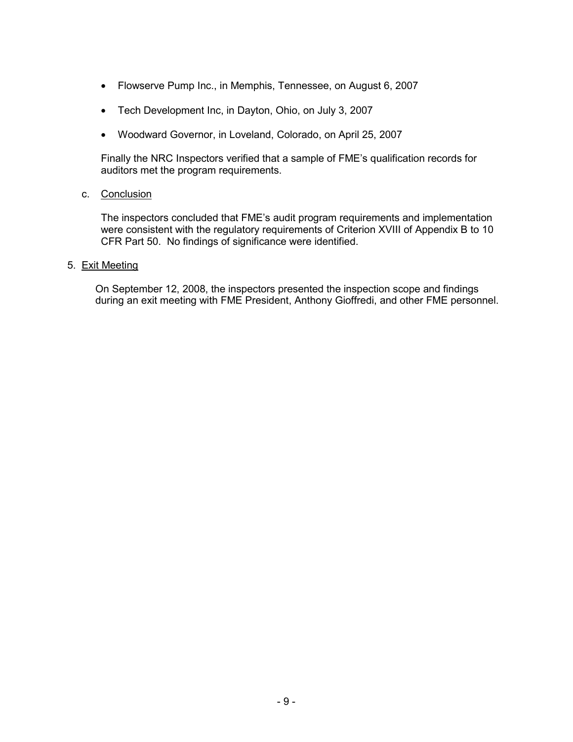- Flowserve Pump Inc., in Memphis, Tennessee, on August 6, 2007
- Tech Development Inc, in Dayton, Ohio, on July 3, 2007
- Woodward Governor, in Loveland, Colorado, on April 25, 2007

Finally the NRC Inspectors verified that a sample of FME's qualification records for auditors met the program requirements.

### c. Conclusion

The inspectors concluded that FME's audit program requirements and implementation were consistent with the regulatory requirements of Criterion XVIII of Appendix B to 10 CFR Part 50. No findings of significance were identified.

### 5. Exit Meeting

On September 12, 2008, the inspectors presented the inspection scope and findings during an exit meeting with FME President, Anthony Gioffredi, and other FME personnel.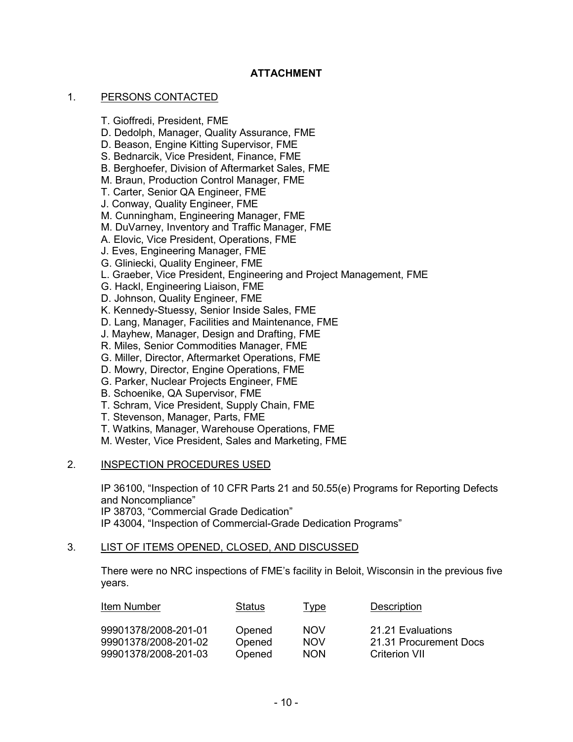# **ATTACHMENT**

#### 1. PERSONS CONTACTED

- T. Gioffredi, President, FME
- D. Dedolph, Manager, Quality Assurance, FME
- D. Beason, Engine Kitting Supervisor, FME
- S. Bednarcik, Vice President, Finance, FME
- B. Berghoefer, Division of Aftermarket Sales, FME
- M. Braun, Production Control Manager, FME
- T. Carter, Senior QA Engineer, FME
- J. Conway, Quality Engineer, FME
- M. Cunningham, Engineering Manager, FME
- M. DuVarney, Inventory and Traffic Manager, FME
- A. Elovic, Vice President, Operations, FME
- J. Eves, Engineering Manager, FME
- G. Gliniecki, Quality Engineer, FME
- L. Graeber, Vice President, Engineering and Project Management, FME
- G. Hackl, Engineering Liaison, FME
- D. Johnson, Quality Engineer, FME
- K. Kennedy-Stuessy, Senior Inside Sales, FME
- D. Lang, Manager, Facilities and Maintenance, FME
- J. Mayhew, Manager, Design and Drafting, FME
- R. Miles, Senior Commodities Manager, FME
- G. Miller, Director, Aftermarket Operations, FME
- D. Mowry, Director, Engine Operations, FME
- G. Parker, Nuclear Projects Engineer, FME
- B. Schoenike, QA Supervisor, FME
- T. Schram, Vice President, Supply Chain, FME
- T. Stevenson, Manager, Parts, FME
- T. Watkins, Manager, Warehouse Operations, FME
- M. Wester, Vice President, Sales and Marketing, FME

#### 2. INSPECTION PROCEDURES USED

IP 36100, "Inspection of 10 CFR Parts 21 and 50.55(e) Programs for Reporting Defects and Noncompliance" IP 38703, "Commercial Grade Dedication"

IP 43004, "Inspection of Commercial-Grade Dedication Programs"

# 3. LIST OF ITEMS OPENED, CLOSED, AND DISCUSSED

There were no NRC inspections of FME's facility in Beloit, Wisconsin in the previous five years.

| Item Number          | Status | Type       | Description            |
|----------------------|--------|------------|------------------------|
| 99901378/2008-201-01 | Opened | <b>NOV</b> | 21.21 Evaluations      |
| 99901378/2008-201-02 | Opened | <b>NOV</b> | 21.31 Procurement Docs |
| 99901378/2008-201-03 | Opened | <b>NON</b> | Criterion VII          |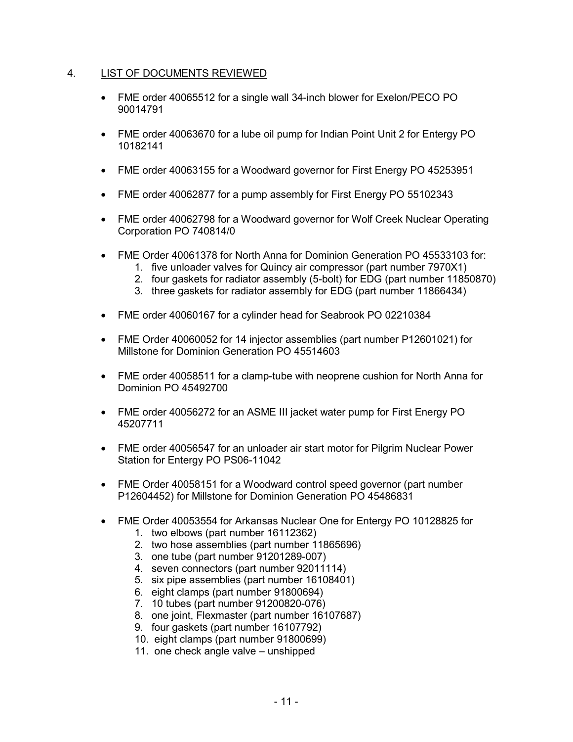# 4. LIST OF DOCUMENTS REVIEWED

- FME order 40065512 for a single wall 34-inch blower for Exelon/PECO PO 90014791
- FME order 40063670 for a lube oil pump for Indian Point Unit 2 for Entergy PO 10182141
- FME order 40063155 for a Woodward governor for First Energy PO 45253951
- FME order 40062877 for a pump assembly for First Energy PO 55102343
- FME order 40062798 for a Woodward governor for Wolf Creek Nuclear Operating Corporation PO 740814/0
- FME Order 40061378 for North Anna for Dominion Generation PO 45533103 for:
	- 1. five unloader valves for Quincy air compressor (part number 7970X1)
	- 2. four gaskets for radiator assembly (5-bolt) for EDG (part number 11850870)
	- 3. three gaskets for radiator assembly for EDG (part number 11866434)
- FME order 40060167 for a cylinder head for Seabrook PO 02210384
- FME Order 40060052 for 14 injector assemblies (part number P12601021) for Millstone for Dominion Generation PO 45514603
- FME order 40058511 for a clamp-tube with neoprene cushion for North Anna for Dominion PO 45492700
- FME order 40056272 for an ASME III jacket water pump for First Energy PO 45207711
- FME order 40056547 for an unloader air start motor for Pilgrim Nuclear Power Station for Entergy PO PS06-11042
- FME Order 40058151 for a Woodward control speed governor (part number P12604452) for Millstone for Dominion Generation PO 45486831
- FME Order 40053554 for Arkansas Nuclear One for Entergy PO 10128825 for
	- 1. two elbows (part number 16112362)
	- 2. two hose assemblies (part number 11865696)
	- 3. one tube (part number 91201289-007)
	- 4. seven connectors (part number 92011114)
	- 5. six pipe assemblies (part number 16108401)
	- 6. eight clamps (part number 91800694)
	- 7. 10 tubes (part number 91200820-076)
	- 8. one joint, Flexmaster (part number 16107687)
	- 9. four gaskets (part number 16107792)
	- 10. eight clamps (part number 91800699)
	- 11. one check angle valve unshipped